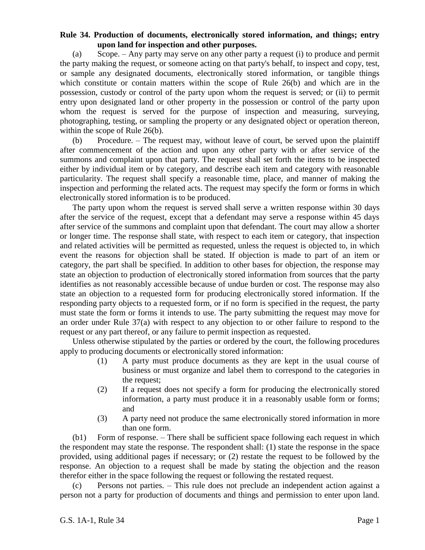## **Rule 34. Production of documents, electronically stored information, and things; entry upon land for inspection and other purposes.**

(a) Scope. – Any party may serve on any other party a request (i) to produce and permit the party making the request, or someone acting on that party's behalf, to inspect and copy, test, or sample any designated documents, electronically stored information, or tangible things which constitute or contain matters within the scope of Rule 26(b) and which are in the possession, custody or control of the party upon whom the request is served; or (ii) to permit entry upon designated land or other property in the possession or control of the party upon whom the request is served for the purpose of inspection and measuring, surveying, photographing, testing, or sampling the property or any designated object or operation thereon, within the scope of Rule 26(b).

(b) Procedure. – The request may, without leave of court, be served upon the plaintiff after commencement of the action and upon any other party with or after service of the summons and complaint upon that party. The request shall set forth the items to be inspected either by individual item or by category, and describe each item and category with reasonable particularity. The request shall specify a reasonable time, place, and manner of making the inspection and performing the related acts. The request may specify the form or forms in which electronically stored information is to be produced.

The party upon whom the request is served shall serve a written response within 30 days after the service of the request, except that a defendant may serve a response within 45 days after service of the summons and complaint upon that defendant. The court may allow a shorter or longer time. The response shall state, with respect to each item or category, that inspection and related activities will be permitted as requested, unless the request is objected to, in which event the reasons for objection shall be stated. If objection is made to part of an item or category, the part shall be specified. In addition to other bases for objection, the response may state an objection to production of electronically stored information from sources that the party identifies as not reasonably accessible because of undue burden or cost. The response may also state an objection to a requested form for producing electronically stored information. If the responding party objects to a requested form, or if no form is specified in the request, the party must state the form or forms it intends to use. The party submitting the request may move for an order under Rule 37(a) with respect to any objection to or other failure to respond to the request or any part thereof, or any failure to permit inspection as requested.

Unless otherwise stipulated by the parties or ordered by the court, the following procedures apply to producing documents or electronically stored information:

- (1) A party must produce documents as they are kept in the usual course of business or must organize and label them to correspond to the categories in the request;
- (2) If a request does not specify a form for producing the electronically stored information, a party must produce it in a reasonably usable form or forms; and
- (3) A party need not produce the same electronically stored information in more than one form.

(b1) Form of response. – There shall be sufficient space following each request in which the respondent may state the response. The respondent shall: (1) state the response in the space provided, using additional pages if necessary; or (2) restate the request to be followed by the response. An objection to a request shall be made by stating the objection and the reason therefor either in the space following the request or following the restated request.

(c) Persons not parties. – This rule does not preclude an independent action against a person not a party for production of documents and things and permission to enter upon land.